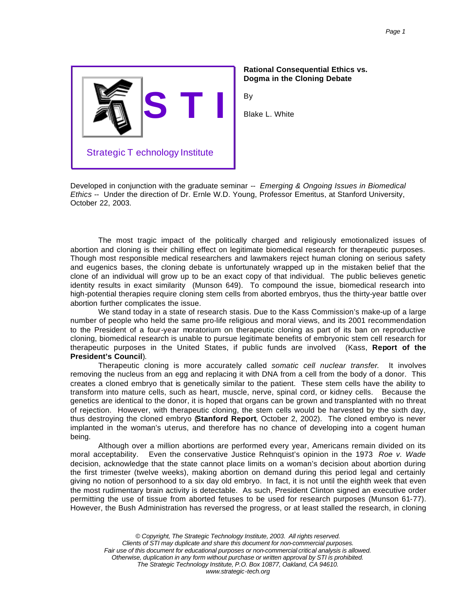

## **Rational Consequential Ethics vs. Dogma in the Cloning Debate**

By

Blake L. White

Developed in conjunction with the graduate seminar -- *Emerging & Ongoing Issues in Biomedical Ethics* -- Under the direction of Dr. Ernle W.D. Young, Professor Emeritus, at Stanford University, October 22, 2003.

The most tragic impact of the politically charged and religiously emotionalized issues of abortion and cloning is their chilling effect on legitimate biomedical research for therapeutic purposes. Though most responsible medical researchers and lawmakers reject human cloning on serious safety and eugenics bases, the cloning debate is unfortunately wrapped up in the mistaken belief that the clone of an individual will grow up to be an exact copy of that individual. The public believes genetic identity results in exact similarity (Munson 649). To compound the issue, biomedical research into high-potential therapies require cloning stem cells from aborted embryos, thus the thirty-year battle over abortion further complicates the issue.

We stand today in a state of research stasis. Due to the Kass Commission's make-up of a large number of people who held the same pro-life religious and moral views, and its 2001 recommendation to the President of a four-year moratorium on therapeutic cloning as part of its ban on reproductive cloning, biomedical research is unable to pursue legitimate benefits of embryonic stem cell research for therapeutic purposes in the United States, if public funds are involved (Kass, **Report of the President's Council**).

Therapeutic cloning is more accurately called *somatic cell nuclear transfer*. It involves removing the nucleus from an egg and replacing it with DNA from a cell from the body of a donor. This creates a cloned embryo that is genetically similar to the patient. These stem cells have the ability to transform into mature cells, such as heart, muscle, nerve, spinal cord, or kidney cells. Because the genetics are identical to the donor, it is hoped that organs can be grown and transplanted with no threat of rejection. However, with therapeutic cloning, the stem cells would be harvested by the sixth day, thus destroying the cloned embryo (**Stanford Report**, October 2, 2002). The cloned embryo is never implanted in the woman's uterus, and therefore has no chance of developing into a cogent human being.

Although over a million abortions are performed every year, Americans remain divided on its moral acceptability. Even the conservative Justice Rehnquist's opinion in the 1973 *Roe v. Wade* decision, acknowledge that the state cannot place limits on a woman's decision about abortion during the first trimester (twelve weeks), making abortion on demand during this period legal and certainly giving no notion of personhood to a six day old embryo. In fact, it is not until the eighth week that even the most rudimentary brain activity is detectable. As such, President Clinton signed an executive order permitting the use of tissue from aborted fetuses to be used for research purposes (Munson 61-77). However, the Bush Administration has reversed the progress, or at least stalled the research, in cloning

*© Copyright, The Strategic Technology Institute, 2003. All rights reserved. Clients of STI may duplicate and share this document for non-commercial purposes. Fair use of this document for educational purposes or non-commercial critical analysis is allowed. Otherwise, duplication in any form without purchase or written approval by STI is prohibited. The Strategic Technology Institute, P.O. Box 10877, Oakland, CA 94610. www.strategic-tech.org*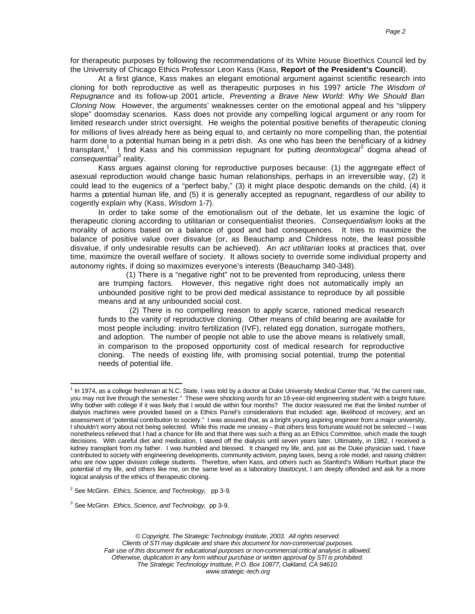for therapeutic purposes by following the recommendations of its White House Bioethics Council led by the University of Chicago Ethics Professor Leon Kass (Kass, **Report of the President's Council**).

At a first glance, Kass makes an elegant emotional argument against scientific research into cloning for both reproductive as well as therapeutic purposes in his 1997 article *The Wisdom of Repugnance* and its follow-up 2001 article, *Preventing a Brave New World: Why We Should Ban Cloning Now*. However, the arguments' weaknesses center on the emotional appeal and his "slippery slope" doomsday scenarios. Kass does not provide any compelling logical argument or any room for limited research under strict oversight. He weighs the potential positive benefits of therapeutic cloning for millions of lives already here as being equal to, and certainly no more compelling than, the potential harm done to a potential human being in a petri dish. As one who has been the beneficiary of a kidney transplant,<sup>1</sup> I find Kass and his commission repugnant for putting *deontological*<sup>2</sup> dogma ahead of consequential<sup>3</sup> reality.

Kass argues against cloning for reproductive purposes because: (1) the aggregate effect of asexual reproduction would change basic human relationships, perhaps in an irreversible way, (2) it could lead to the eugenics of a "perfect baby," (3) it might place despotic demands on the child, (4) it harms a potential human life, and (5) it is generally accepted as repugnant, regardless of our ability to cogently explain why (Kass, *Wisdom* 1-7).

In order to take some of the emotionalism out of the debate, let us examine the logic of therapeutic cloning according to utilitarian or consequentialist theories. *Consequentialism* looks at the morality of actions based on a balance of good and bad consequences. It tries to maximize the balance of positive value over disvalue (or, as Beauchamp and Childress note, the least possible disvalue, if only undesirable results can be achieved). An *act utilitarian* looks at practices that, over time, maximize the overall welfare of society. It allows society to override some individual property and autonomy rights, if doing so maximizes everyone's interests (Beauchamp 340-348).

(1) There is a "negative right" not to be prevented from reproducing, unless there are trumping factors. However, this negative right does not automatically imply an unbounded positive right to be provi ded medical assistance to reproduce by all possible means and at any unbounded social cost.

 (2) There is no compelling reason to apply scarce, rationed medical research funds to the vanity of reproductive cloning. Other means of child bearing are available for most people including: invitro fertilization (IVF), related egg donation, surrogate mothers, and adoption. The number of people not able to use the above means is relatively small, in comparison to the proposed opportunity cost of medical research for reproductive cloning. The needs of existing life, with promising social potential, trump the potential needs of potential life.

 $\overline{a}$ 

3 See McGinn. *Ethics, Science, and Technology,* pp 3-9.

<sup>&</sup>lt;sup>1</sup> In 1974, as a college freshman at N.C. State, I was told by a doctor at Duke University Medical Center that, "At the current rate, you may not live through the semester." These were shocking words for an 18-year-old engineering student with a bright future. Why bother with college if it was likely that I would die within four months? The doctor reassured me that the limited number of dialysis machines were provided based on a Ethics Panel's considerations that included: age, likelihood of recovery, and an assessment of "potential contribution to society." I was assured that, as a bright young aspiring engineer from a major university, I shouldn't worry about not being selected. While this made me uneasy – that others less fortunate would not be selected – I was nonetheless relieved that I had a chance for life and that there was such a thing as an Ethics Committee, which made the tough decisions. With careful diet and medication, I staved off the dialysis until seven years later. Ultimately, in 1982, I received a kidney transplant from my father. I was humbled and blessed. It changed my life, and, just as the Duke physician said, I have contributed to society with engineering developments, community activism, paying taxes, being a role model, and raising children who are now upper division college students. Therefore, when Kass, and others such as Stanford's William Hurlburt place the potential of my life, and others like me, on the same level as a laboratory blastocyst, I am deeply offended and ask for a more logical analysis of the ethics of therapeutic cloning.

<sup>2</sup> See McGinn. *Ethics, Science, and Technology,* pp 3-9.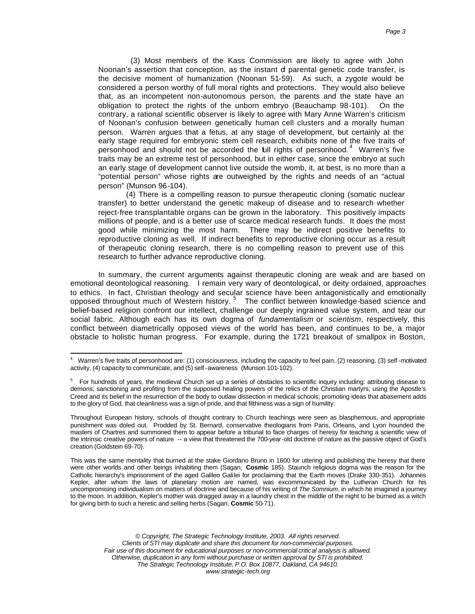(3) Most members of the Kass Commission are likely to agree with John Noonan's assertion that conception, as the instant of parental genetic code transfer, is the decisive moment of humanization (Noonan 51-59). As such, a zygote would be considered a person worthy of full moral rights and protections. They would also believe that, as an incompetent non-autonomous person, the parents and the state have an obligation to protect the rights of the unborn embryo (Beauchamp 98-101). On the contrary, a rational scientific observer is likely to agree with Mary Anne Warren's criticism of Noonan's confusion between genetically human cell clusters and a morally human person. Warren argues that a fetus, at any stage of development, but certainly at the early stage required for embryonic stem cell research, exhibits none of the five traits of personhood and should not be accorded the full rights of personhood.<sup>4</sup> Warren's five traits may be an extreme test of personhood, but in either case, since the embryo at such an early stage of development cannot live outside the womb, it, at best, is no more than a "potential person" whose rights are outweighed by the rights and needs of an "actual person" (Munson 96-104).

(4) There is a compelling reason to pursue therapeutic cloning (somatic nuclear transfer) to better understand the genetic makeup of disease and to research whether reject-free transplantable organs can be grown in the laboratory. This positively impacts millions of people, and is a better use of scarce medical research funds. It does the most good while minimizing the most harm. There may be indirect positive benefits to reproductive cloning as well. If indirect benefits to reproductive cloning occur as a result of therapeutic cloning research, there is no compelling reason to prevent use of this research to further advance reproductive cloning.

In summary, the current arguments against therapeutic cloning are weak and are based on emotional deontological reasoning. I remain very wary of deontological, or deity ordained, approaches to ethics. In fact, Christian theology and secular science have been antagonistically and emotionally opposed throughout much of Western history.<sup>5</sup> The conflict between knowledge-based science and belief-based religion confront our intellect, challenge our deeply ingrained value system, and tear our social fabric. Although each has its own dogma of *fundamentalism* or *scientism*, respectively, this conflict between diametrically opposed views of the world has been, and continues to be, a major obstacle to holistic human progress. For example, during the 1721 breakout of smallpox in Boston,

 4 Warren's five traits of personhood are: (1) consciousness, including the capacity to feel pain, (2) reasoning, (3) self -motivated activity, (4) capacity to communicate, and (5) self -awareness (Munson 101-102).

<sup>&</sup>lt;sup>5</sup> For hundreds of years, the medieval Church set up a series of obstacles to scientific inquiry including: attributing disease to demons; sanctioning and profiting from the supposed healing powers of the relics of the Christian martyrs; using the Apostle's Creed and its belief in the resurrection of the body to outlaw dissection in medical schools; promoting ideas that abasement adds to the glory of God, that cleanliness was a sign of pride, and that filthiness was a sign of humility.

Throughout European history, schools of thought contrary to Church teachings were seen as blasphemous, and appropriate punishment was doled out. Prodded by St. Bernard, conservative theologians from Paris, Orleans, and Lyon hounded the masters of Chartres and summoned them to appear before a tribunal to face charges of heresy for teaching a scientific view of the intrinsic creative powers of nature -- a view that threatened the 700-year-old doctrine of nature as the passive object of God's creation (Goldstein 69-70).

This was the same mentality that burned at the stake Giordano Bruno in 1600 for uttering and publishing the heresy that there were other worlds and other beings inhabiting them (Sagan, **Cosmic** 185). Staunch religious dogma was the reason for the Catholic hierarchy's imprisonment of the aged Galileo Galilei for proclaiming that the Earth moves (Drake 330-351). Johannes Kepler, after whom the laws of planetary motion are named, was excommunicated by the Lutheran Church for his uncompromising individualism on matters of doctrine and because of his writing of *The Somnium*, in which he imagined a journey to the moon. In addition, Kepler's mother was dragged away in a laundry chest in the middle of the night to be burned as a witch for giving birth to such a heretic and selling herbs (Sagan, **Cosmic** 50-71).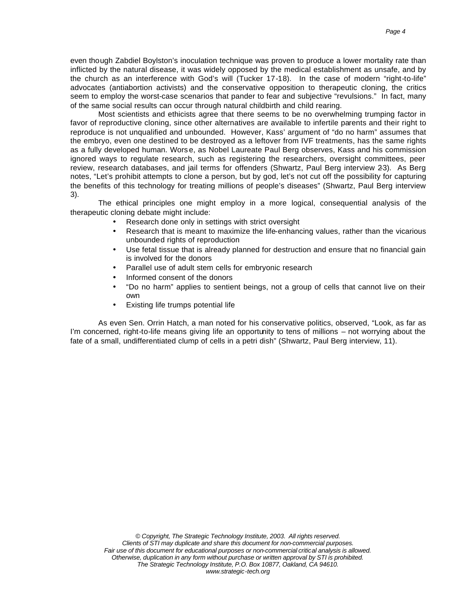even though Zabdiel Boylston's inoculation technique was proven to produce a lower mortality rate than inflicted by the natural disease, it was widely opposed by the medical establishment as unsafe, and by the church as an interference with God's will (Tucker 17-18). In the case of modern "right-to-life" advocates (antiabortion activists) and the conservative opposition to therapeutic cloning, the critics seem to employ the worst-case scenarios that pander to fear and subjective "revulsions." In fact, many of the same social results can occur through natural childbirth and child rearing.

Most scientists and ethicists agree that there seems to be no overwhelming trumping factor in favor of reproductive cloning, since other alternatives are available to infertile parents and their right to reproduce is not unqualified and unbounded. However, Kass' argument of "do no harm" assumes that the embryo, even one destined to be destroyed as a leftover from IVF treatments, has the same rights as a fully developed human. Wors e, as Nobel Laureate Paul Berg observes, Kass and his commission ignored ways to regulate research, such as registering the researchers, oversight committees, peer review, research databases, and jail terms for offenders (Shwartz, Paul Berg interview 2-3). As Berg notes, "Let's prohibit attempts to clone a person, but by god, let's not cut off the possibility for capturing the benefits of this technology for treating millions of people's diseases" (Shwartz, Paul Berg interview 3).

The ethical principles one might employ in a more logical, consequential analysis of the therapeutic cloning debate might include:

- Research done only in settings with strict oversight
- Research that is meant to maximize the life-enhancing values, rather than the vicarious unbounded rights of reproduction
- Use fetal tissue that is already planned for destruction and ensure that no financial gain is involved for the donors
- Parallel use of adult stem cells for embryonic research
- Informed consent of the donors
- "Do no harm" applies to sentient beings, not a group of cells that cannot live on their own
- Existing life trumps potential life

As even Sen. Orrin Hatch, a man noted for his conservative politics, observed, "Look, as far as I'm concerned, right-to-life means giving life an opportunity to tens of millions – not worrying about the fate of a small, undifferentiated clump of cells in a petri dish" (Shwartz, Paul Berg interview, 11).